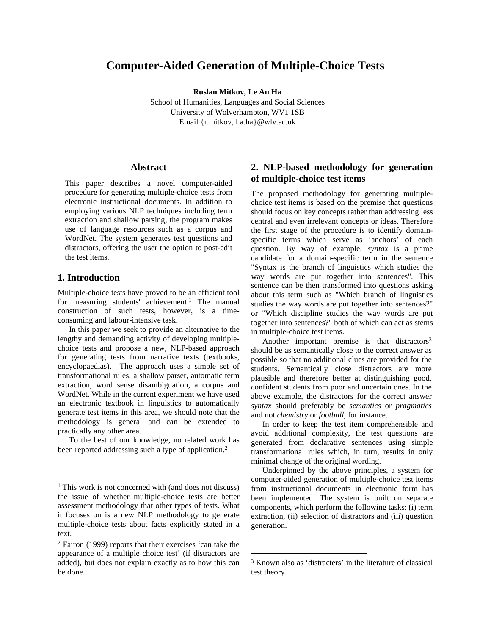# **Computer-Aided Generation of Multiple-Choice Tests**

**Ruslan Mitkov, Le An Ha** 

School of Humanities, Languages and Social Sciences University of Wolverhampton, WV1 1SB Email {r.mitkov, l.a.ha}@wlv.ac.uk

### **Abstract**

This paper describes a novel computer-aided procedure for generating multiple-choice tests from electronic instructional documents. In addition to employing various NLP techniques including term extraction and shallow parsing, the program makes use of language resources such as a corpus and WordNet. The system generates test questions and distractors, offering the user the option to post-edit the test items.

### **1. Introduction**

 $\overline{a}$ 

Multiple-choice tests have proved to be an efficient tool for measuring students' achievement.<sup>1</sup> The manual construction of such tests, however, is a timeconsuming and labour-intensive task.

In this paper we seek to provide an alternative to the lengthy and demanding activity of developing multiplechoice tests and propose a new, NLP-based approach for generating tests from narrative texts (textbooks, encyclopaedias). The approach uses a simple set of transformational rules, a shallow parser, automatic term extraction, word sense disambiguation, a corpus and WordNet. While in the current experiment we have used an electronic textbook in linguistics to automatically generate test items in this area, we should note that the methodology is general and can be extended to practically any other area.

To the best of our knowledge, no related work has been reported addressing such a type of application.<sup>2</sup>

## **2. NLP-based methodology for generation of multiple-choice test items**

The proposed methodology for generating multiplechoice test items is based on the premise that questions should focus on key concepts rather than addressing less central and even irrelevant concepts or ideas. Therefore the first stage of the procedure is to identify domainspecific terms which serve as 'anchors' of each question. By way of example, *syntax* is a prime candidate for a domain-specific term in the sentence "Syntax is the branch of linguistics which studies the way words are put together into sentences". This sentence can be then transformed into questions asking about this term such as "Which branch of linguistics studies the way words are put together into sentences?" or "Which discipline studies the way words are put together into sentences?" both of which can act as stems in multiple-choice test items.

Another important premise is that distractors<sup>3</sup> should be as semantically close to the correct answer as possible so that no additional clues are provided for the students. Semantically close distractors are more plausible and therefore better at distinguishing good, confident students from poor and uncertain ones. In the above example, the distractors for the correct answer *syntax* should preferably be *semantics* or *pragmatics* and not *chemistry* or *football*, for instance.

In order to keep the test item comprehensible and avoid additional complexity, the test questions are generated from declarative sentences using simple transformational rules which, in turn, results in only minimal change of the original wording.

Underpinned by the above principles, a system for computer-aided generation of multiple-choice test items from instructional documents in electronic form has been implemented. The system is built on separate components, which perform the following tasks: (i) term extraction, (ii) selection of distractors and (iii) question generation.

l

<sup>&</sup>lt;sup>1</sup> This work is not concerned with (and does not discuss) the issue of whether multiple-choice tests are better assessment methodology that other types of tests. What it focuses on is a new NLP methodology to generate multiple-choice tests about facts explicitly stated in a text.

<sup>2</sup> Fairon (1999) reports that their exercises 'can take the appearance of a multiple choice test' (if distractors are added), but does not explain exactly as to how this can be done.

<sup>3</sup> Known also as 'distracters' in the literature of classical test theory.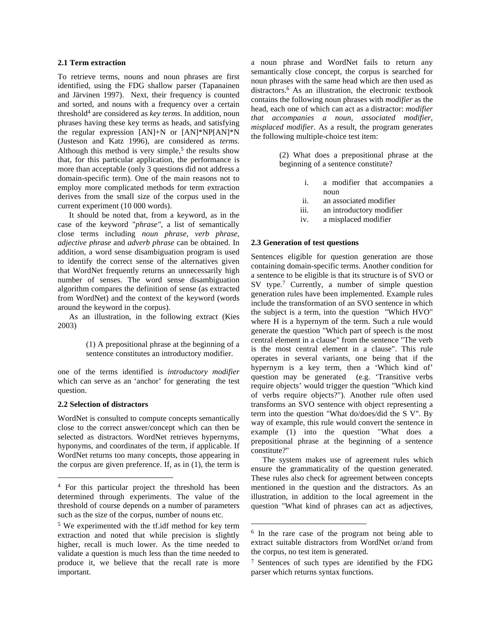#### **2.1 Term extraction**

To retrieve terms, nouns and noun phrases are first identified, using the FDG shallow parser (Tapanainen and Järvinen 1997). Next, their frequency is counted and sorted, and nouns with a frequency over a certain threshold4 are considered as *key terms*. In addition, noun phrases having these key terms as heads, and satisfying the regular expression [AN]+N or [AN]\*NP[AN]\*N (Justeson and Katz 1996), are considered as *terms*. Although this method is very simple,<sup>5</sup> the results show that, for this particular application, the performance is more than acceptable (only 3 questions did not address a domain-specific term). One of the main reasons not to employ more complicated methods for term extraction derives from the small size of the corpus used in the current experiment (10 000 words).

It should be noted that, from a keyword, as in the case of the keyword "*phrase",* a list of semantically close terms including *noun phrase*, *verb phrase*, *adjective phrase* and *adverb phrase* can be obtained. In addition, a word sense disambiguation program is used to identify the correct sense of the alternatives given that WordNet frequently returns an unnecessarily high number of senses. The word sense disambiguation algorithm compares the definition of sense (as extracted from WordNet) and the context of the keyword (words around the keyword in the corpus).

As an illustration, in the following extract (Kies 2003)

> (1) A prepositional phrase at the beginning of a sentence constitutes an introductory modifier.

one of the terms identified is *introductory modifier* which can serve as an 'anchor' for generating the test question.

#### **2.2 Selection of distractors**

1

WordNet is consulted to compute concepts semantically close to the correct answer/concept which can then be selected as distractors. WordNet retrieves hypernyms, hyponyms, and coordinates of the term, if applicable. If WordNet returns too many concepts, those appearing in the corpus are given preference. If, as in (1), the term is a noun phrase and WordNet fails to return any semantically close concept, the corpus is searched for noun phrases with the same head which are then used as distractors.<sup>6</sup> As an illustration, the electronic textbook contains the following noun phrases with *modifier* as the head, each one of which can act as a distractor: *modifier that accompanies a noun, associated modifier, misplaced modifier*. As a result, the program generates the following multiple-choice test item:

> (2) What does a prepositional phrase at the beginning of a sentence constitute?

- i. a modifier that accompanies a noun
- ii. an associated modifier
- iii. an introductory modifier
- iv. a misplaced modifier

#### **2.3 Generation of test questions**

Sentences eligible for question generation are those containing domain-specific terms. Another condition for a sentence to be eligible is that its structure is of SVO or SV type.7 Currently, a number of simple question generation rules have been implemented. Example rules include the transformation of an SVO sentence in which the subject is a term, into the question "Which HVO" where H is a hypernym of the term. Such a rule would generate the question "Which part of speech is the most central element in a clause" from the sentence "The verb is the most central element in a clause". This rule operates in several variants, one being that if the hypernym is a key term, then a 'Which kind of' question may be generated (e.g. 'Transitive verbs require objects' would trigger the question "Which kind of verbs require objects?"). Another rule often used transforms an SVO sentence with object representing a term into the question "What do/does/did the S V". By way of example, this rule would convert the sentence in example (1) into the question "What does a prepositional phrase at the beginning of a sentence constitute?"

The system makes use of agreement rules which ensure the grammaticality of the question generated. These rules also check for agreement between concepts mentioned in the question and the distractors. As an illustration, in addition to the local agreement in the question "What kind of phrases can act as adjectives,

 $\overline{a}$ 

<sup>4</sup> For this particular project the threshold has been determined through experiments. The value of the threshold of course depends on a number of parameters such as the size of the corpus, number of nouns etc.

<sup>5</sup> We experimented with the tf.idf method for key term extraction and noted that while precision is slightly higher, recall is much lower. As the time needed to validate a question is much less than the time needed to produce it, we believe that the recall rate is more important.

<sup>6</sup> In the rare case of the program not being able to extract suitable distractors from WordNet or/and from the corpus, no test item is generated.

<sup>7</sup> Sentences of such types are identified by the FDG parser which returns syntax functions.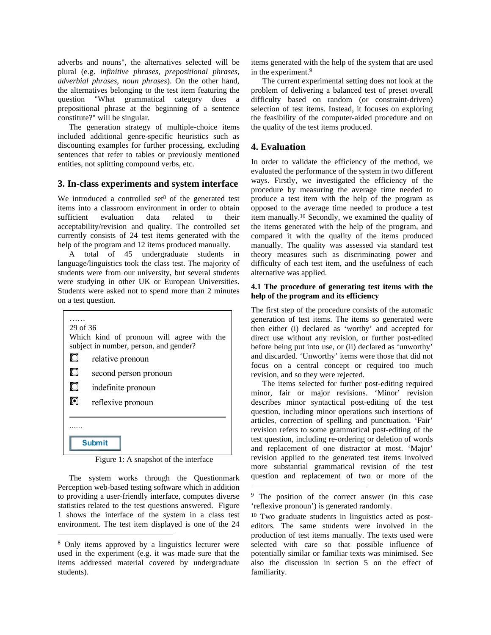adverbs and nouns", the alternatives selected will be plural (e.g. *infinitive phrases*, *prepositional phrases*, *adverbial phrases*, *noun phrases*). On the other hand, the alternatives belonging to the test item featuring the question "What grammatical category does a prepositional phrase at the beginning of a sentence constitute?" will be singular.

The generation strategy of multiple-choice items included additional genre-specific heuristics such as discounting examples for further processing, excluding sentences that refer to tables or previously mentioned entities, not splitting compound verbs, etc.

### **3. In-class experiments and system interface**

We introduced a controlled set $8$  of the generated test items into a classroom environment in order to obtain sufficient evaluation data related to their acceptability/revision and quality. The controlled set currently consists of 24 test items generated with the help of the program and 12 items produced manually.

A total of 45 undergraduate students in language/linguistics took the class test. The majority of students were from our university, but several students were studying in other UK or European Universities. Students were asked not to spend more than 2 minutes on a test question.

……

 $\overline{a}$ 



The system works through the Questionmark Perception web-based testing software which in addition to providing a user-friendly interface, computes diverse statistics related to the test questions answered. Figure 1 shows the interface of the system in a class test environment. The test item displayed is one of the 24

items generated with the help of the system that are used in the experiment.9

The current experimental setting does not look at the problem of delivering a balanced test of preset overall difficulty based on random (or constraint-driven) selection of test items. Instead, it focuses on exploring the feasibility of the computer-aided procedure and on the quality of the test items produced.

## **4. Evaluation**

In order to validate the efficiency of the method, we evaluated the performance of the system in two different ways. Firstly, we investigated the efficiency of the procedure by measuring the average time needed to produce a test item with the help of the program as opposed to the average time needed to produce a test item manually.10 Secondly, we examined the quality of the items generated with the help of the program, and compared it with the quality of the items produced manually. The quality was assessed via standard test theory measures such as discriminating power and difficulty of each test item, and the usefulness of each alternative was applied.

### **4.1 The procedure of generating test items with the help of the program and its efficiency**

The first step of the procedure consists of the automatic generation of test items. The items so generated were then either (i) declared as 'worthy' and accepted for direct use without any revision, or further post-edited before being put into use, or (ii) declared as 'unworthy' and discarded. 'Unworthy' items were those that did not focus on a central concept or required too much revision, and so they were rejected.

The items selected for further post-editing required minor, fair or major revisions. 'Minor' revision describes minor syntactical post-editing of the test question, including minor operations such insertions of articles, correction of spelling and punctuation. 'Fair' revision refers to some grammatical post-editing of the test question, including re-ordering or deletion of words and replacement of one distractor at most. 'Major' revision applied to the generated test items involved more substantial grammatical revision of the test question and replacement of two or more of the

 $\overline{a}$ 

<sup>8</sup> Only items approved by a linguistics lecturer were used in the experiment (e.g. it was made sure that the items addressed material covered by undergraduate students).

<sup>9</sup> The position of the correct answer (in this case 'reflexive pronoun') is generated randomly.

<sup>10</sup> Two graduate students in linguistics acted as posteditors. The same students were involved in the production of test items manually. The texts used were selected with care so that possible influence of potentially similar or familiar texts was minimised. See also the discussion in section 5 on the effect of familiarity.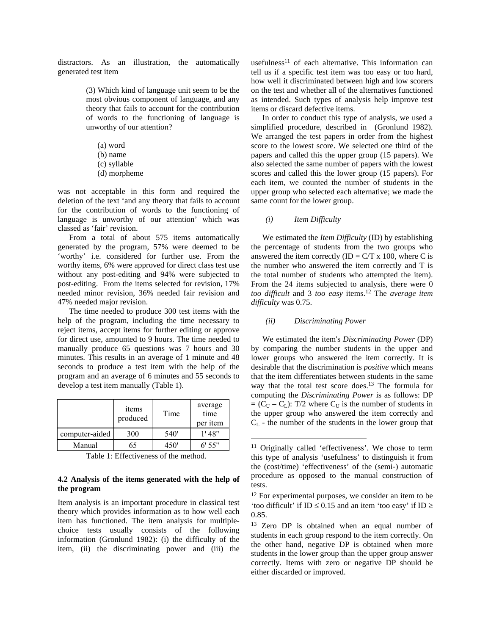distractors. As an illustration, the automatically generated test item

> (3) Which kind of language unit seem to be the most obvious component of language, and any theory that fails to account for the contribution of words to the functioning of language is unworthy of our attention?

- (a) word
- (b) name
- (c) syllable
- (d) morpheme

was not acceptable in this form and required the deletion of the text 'and any theory that fails to account for the contribution of words to the functioning of language is unworthy of our attention' which was classed as 'fair' revision.

From a total of about 575 items automatically generated by the program, 57% were deemed to be 'worthy' i.e. considered for further use. From the worthy items, 6% were approved for direct class test use without any post-editing and 94% were subjected to post-editing. From the items selected for revision, 17% needed minor revision, 36% needed fair revision and 47% needed major revision.

The time needed to produce 300 test items with the help of the program, including the time necessary to reject items, accept items for further editing or approve for direct use, amounted to 9 hours. The time needed to manually produce 65 questions was 7 hours and 30 minutes. This results in an average of 1 minute and 48 seconds to produce a test item with the help of the program and an average of 6 minutes and 55 seconds to develop a test item manually (Table 1).

|                | items<br>produced | Time | average<br>time<br>per item |
|----------------|-------------------|------|-----------------------------|
| computer-aided | 300               | 540' | 1' 48"                      |
| Manual         | 65                | 450' | $6'$ 55"                    |

Table 1: Effectiveness of the method.

#### **4.2 Analysis of the items generated with the help of the program**

Item analysis is an important procedure in classical test theory which provides information as to how well each item has functioned. The item analysis for multiplechoice tests usually consists of the following information (Gronlund 1982): (i) the difficulty of the item, (ii) the discriminating power and (iii) the usefulness<sup>11</sup> of each alternative. This information can tell us if a specific test item was too easy or too hard, how well it discriminated between high and low scorers on the test and whether all of the alternatives functioned as intended. Such types of analysis help improve test items or discard defective items.

In order to conduct this type of analysis, we used a simplified procedure, described in (Gronlund 1982). We arranged the test papers in order from the highest score to the lowest score. We selected one third of the papers and called this the upper group (15 papers). We also selected the same number of papers with the lowest scores and called this the lower group (15 papers). For each item, we counted the number of students in the upper group who selected each alternative; we made the same count for the lower group.

#### *(i) Item Difficulty*

We estimated the *Item Difficulty* (ID) by establishing the percentage of students from the two groups who answered the item correctly  $(ID = C/T x 100)$ , where C is the number who answered the item correctly and T is the total number of students who attempted the item). From the 24 items subjected to analysis, there were 0 *too difficult* and 3 *too easy* items.12 The *average item difficulty* was 0.75.

#### *(ii) Discriminating Power*

 $\overline{a}$ 

We estimated the item's *Discriminating Power* (DP) by comparing the number students in the upper and lower groups who answered the item correctly. It is desirable that the discrimination is *positive* which means that the item differentiates between students in the same way that the total test score does.13 The formula for computing the *Discriminating Power* is as follows: DP  $= (C_U - C_L)$ : T/2 where  $C_U$  is the number of students in the upper group who answered the item correctly and  $C_{L}$  - the number of the students in the lower group that

<sup>11</sup> Originally called 'effectiveness'. We chose to term this type of analysis 'usefulness' to distinguish it from the (cost/time) 'effectiveness' of the (semi-) automatic procedure as opposed to the manual construction of tests.

<sup>12</sup> For experimental purposes, we consider an item to be 'too difficult' if  $ID \le 0.15$  and an item 'too easy' if  $ID \ge$ 0.85.

<sup>13</sup> Zero DP is obtained when an equal number of students in each group respond to the item correctly. On the other hand, negative DP is obtained when more students in the lower group than the upper group answer correctly. Items with zero or negative DP should be either discarded or improved.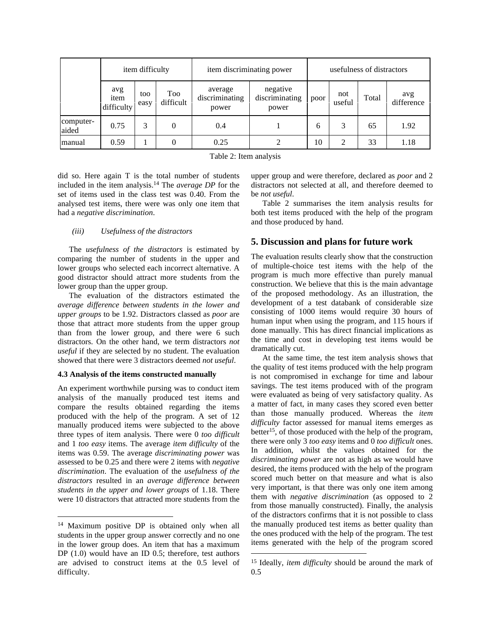|                    | item difficulty           |             | item discriminating power |                                    | usefulness of distractors           |              |               |       |                   |
|--------------------|---------------------------|-------------|---------------------------|------------------------------------|-------------------------------------|--------------|---------------|-------|-------------------|
|                    | avg<br>item<br>difficulty | too<br>easy | Too<br>difficult          | average<br>discriminating<br>power | negative<br>discriminating<br>power | poor         | not<br>useful | Total | avg<br>difference |
| computer-<br>aided | 0.75                      | 3           | 0                         | 0.4                                |                                     | <sub>6</sub> | 3             | 65    | 1.92              |
| manual             | 0.59                      |             |                           | 0.25                               | 2                                   | 10           | ↑             | 33    | 1.18              |

Table 2: Item analysis

l

did so. Here again T is the total number of students included in the item analysis.14 The *average DP* for the set of items used in the class test was 0.40. From the analysed test items, there were was only one item that had a *negative discrimination*.

#### *(iii) Usefulness of the distractors*

The *usefulness of the distractors* is estimated by comparing the number of students in the upper and lower groups who selected each incorrect alternative. A good distractor should attract more students from the lower group than the upper group.

The evaluation of the distractors estimated the *average difference between students in the lower and upper groups* to be 1.92. Distractors classed as *poor* are those that attract more students from the upper group than from the lower group, and there were 6 such distractors. On the other hand, we term distractors *not useful* if they are selected by no student. The evaluation showed that there were 3 distractors deemed *not useful*.

### **4.3 Analysis of the items constructed manually**

An experiment worthwhile pursing was to conduct item analysis of the manually produced test items and compare the results obtained regarding the items produced with the help of the program. A set of 12 manually produced items were subjected to the above three types of item analysis. There were 0 *too difficult* and 1 *too easy* items. The average *item difficulty* of the items was 0.59. The average *discriminating power* was assessed to be 0.25 and there were 2 items with *negative discrimination*. The evaluation of the *usefulness of the distractors* resulted in an *average difference between students in the upper and lower groups* of 1.18. There were 10 distractors that attracted more students from the

 $\overline{a}$ 

upper group and were therefore, declared as *poor* and 2 distractors not selected at all, and therefore deemed to be *not useful*.

Table 2 summarises the item analysis results for both test items produced with the help of the program and those produced by hand.

### **5. Discussion and plans for future work**

The evaluation results clearly show that the construction of multiple-choice test items with the help of the program is much more effective than purely manual construction. We believe that this is the main advantage of the proposed methodology. As an illustration, the development of a test databank of considerable size consisting of 1000 items would require 30 hours of human input when using the program, and 115 hours if done manually. This has direct financial implications as the time and cost in developing test items would be dramatically cut.

At the same time, the test item analysis shows that the quality of test items produced with the help program is not compromised in exchange for time and labour savings. The test items produced with of the program were evaluated as being of very satisfactory quality. As a matter of fact, in many cases they scored even better than those manually produced. Whereas the *item difficulty* factor assessed for manual items emerges as better<sup>15</sup>, of those produced with the help of the program, there were only 3 *too easy* items and 0 *too difficult* ones. In addition, whilst the values obtained for the *discriminating power* are not as high as we would have desired, the items produced with the help of the program scored much better on that measure and what is also very important, is that there was only one item among them with *negative discrimination* (as opposed to 2 from those manually constructed). Finally, the analysis of the distractors confirms that it is not possible to class the manually produced test items as better quality than the ones produced with the help of the program. The test items generated with the help of the program scored

<sup>14</sup> Maximum positive DP is obtained only when all students in the upper group answer correctly and no one in the lower group does. An item that has a maximum DP (1.0) would have an ID 0.5; therefore, test authors are advised to construct items at the 0.5 level of difficulty.

<sup>15</sup> Ideally, *item difficulty* should be around the mark of 0.5